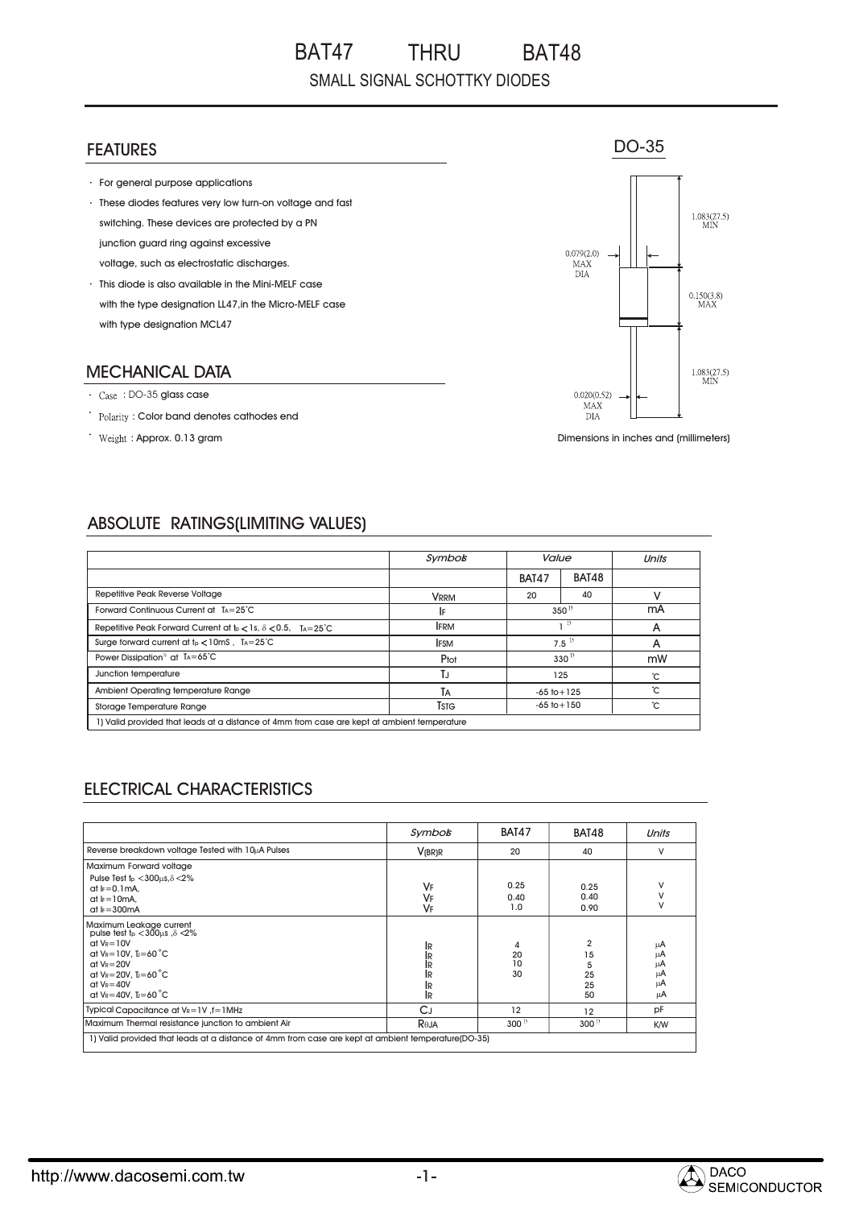#### FEATURES

- For general purpose applications
- These diodes features very low turn-on voltage and fast switching. These devices are protected by a PN junction guard ring against excessive voltage, such as electrostatic discharges.
- This diode is also available in the Mini-MELF case with the type designation LL47,in the Micro-MELF case with type designation MCL47

#### MECHANICAL DATA

- : DO-35 glass case
- : Color band denotes cathodes end
- : Approx. 0.13 gram



DO-35

Dimensions in inches and (millimeters)

## ABSOLUTE RATINGS(LIMITING VALUES)

|                                                                                             | Symbos       |                  | Value |    |
|---------------------------------------------------------------------------------------------|--------------|------------------|-------|----|
|                                                                                             |              | BAT47            | BAT48 |    |
| Repetitive Peak Reverse Voltage                                                             | <b>VRRM</b>  | 20               | 40    |    |
| Forward Continuous Current at TA=25°C                                                       | I۴           | $350^{1}$        |       | mA |
| Repetitive Peak Forward Current at $t_{\rm p}$ < 1s, $\delta$ < 0.5, TA=25 <sup>-</sup> C   | <b>IFRM</b>  | $\left  \right $ |       | А  |
| Surge forward current at $t_P < 10$ mS, $T_A = 25^{\circ}C$                                 | <b>IFSM</b>  | $7.5^{1}$        |       | А  |
| Power Dissipation <sup>11</sup> at $Ta = 65^{\circ}C$                                       | Ptot         | $330^{1}$        |       | mW |
| Junction temperature                                                                        | T.J          | 125              |       | °С |
| Ambient Operating temperature Range                                                         | TA           | $-65$ to $+125$  |       | ъ° |
| Storage Temperature Range                                                                   | <b>T</b> stg | $-65$ to $+150$  |       | ъ° |
| 1) Valid provided that leads at a distance of 4mm from case are kept at ambient temperature |              |                  |       |    |

### ELECTRICAL CHARACTERISTICS

|                                                                                                                                                                                                                                                            | Symbos                                  | <b>BAT47</b>        | <b>BAT48</b>                                | Units                            |  |  |
|------------------------------------------------------------------------------------------------------------------------------------------------------------------------------------------------------------------------------------------------------------|-----------------------------------------|---------------------|---------------------------------------------|----------------------------------|--|--|
| Reverse breakdown voltage Tested with 10uA Pulses                                                                                                                                                                                                          | V(BR)R                                  | 20                  | 40                                          | V                                |  |  |
| Maximum Forward voltage<br>Pulse Test $t_p < 300 \mu s, \delta < 2\%$<br>at $F = 0.1$ mA.<br>at $k = 10mA$ .<br>at $I_F = 300mA$                                                                                                                           | VF<br>VF<br>VF                          | 0.25<br>0.40<br>1.0 | 0.25<br>0.40<br>0.90                        | V<br>V<br>V                      |  |  |
| Maximum Leakage current<br>pulse test $t_p < 300 \mu s$ , $\delta < 2\%$<br>$at VR=10V$<br>at $V_R = 10V$ , $L = 60^{\circ}C$<br>$dt$ V <sub>R</sub> $=$ 20V<br>at $V_R = 20V$ . $I = 60^{\circ}C$<br>$at V_R = 40V$<br>at $V_R = 40V$ . $I = 60^{\circ}C$ | Ir<br>ÏR<br>İR<br>İR<br>1R<br><b>IR</b> | 4<br>20<br>10<br>30 | $\overline{2}$<br>15<br>5<br>25<br>25<br>50 | μA<br>μA<br>μA<br>μA<br>μA<br>μA |  |  |
| Typical Capacitance at VR=1V, f=1MHz                                                                                                                                                                                                                       | CJ                                      | 12                  | 12                                          | pF                               |  |  |
| Maximum Thermal resistance junction to ambient Air                                                                                                                                                                                                         | Reja                                    | $300^{1}$           | 300 <sup>1</sup>                            | K/W                              |  |  |
| 1) Valid provided that leads at a distance of 4mm from case are kept at ambient temperature(DO-35)                                                                                                                                                         |                                         |                     |                                             |                                  |  |  |